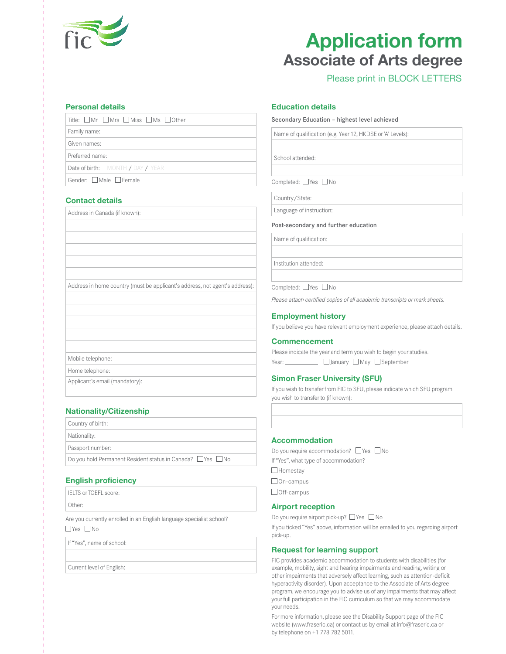

# **Application form Associate of Arts degree**

# Please print in BLOCK LETTERS

#### **Personal details**

| $\overline{\phantom{a}}$ Title: $\Box$ Mr $\Box$ Mrs $\Box$ Miss $\Box$ Ms $\Box$ Other |
|-----------------------------------------------------------------------------------------|
| Family name:                                                                            |
| Given names:                                                                            |
| Preferred name:                                                                         |
| Date of birth: MONTH / DAY / YEAR                                                       |

Gender: □ Male □ Female

# **Contact details**

Address in Canada (if known):

Address in home country (must be applicant's address, not agent's address):

Mobile telephone:

Home telephone:

Applicant's email (mandatory):

### **Nationality/Citizenship**

| Country of birth:                                         |
|-----------------------------------------------------------|
| Nationality:                                              |
| Passport number:                                          |
| Do you hold Permanent Resident status in Canada? ∐Yes ∐No |
|                                                           |

### **English proficiency**

IELTS or TOEFL score: Other:

Are you currently enrolled in an English language specialist school?  $\Box$ Yes  $\Box$ No

If "Yes", name of school:

Current level of English:

#### **Education details**

#### Secondary Education – highest level achieved

Name of qualification (e.g. Year 12, HKDSE or 'A' Levels):

School attended:

Completed: □Yes □No

Country/State:

Language of instruction:

#### Post-secondary and further education

Name of qualification:

Institution attended:

Completed: □Yes □No

*Please attach certified copies of all academic transcripts or mark sheets.*

#### **Employment history**

If you believe you have relevant employment experience, please attach details.

#### **Commencement**

Please indicate the year and term you wish to begin your studies. Year: January May September

### **Simon Fraser University (SFU)**

If you wish to transfer from FIC to SFU, please indicate which SFU program you wish to transfer to (if known):

#### **Accommodation**

Do you require accommodation?  $\Box$  Yes  $\Box$  No If "Yes", what type of accommodation? □ Homestay □ On-campus  $\Box$  Off-campus

## **Airport reception**

Do you require airport pick-up?  $\Box$  Yes  $\Box$  No

If you ticked "Yes" above, information will be emailed to you regarding airport pick-up.

#### **Request for learning support**

FIC provides academic accommodation to students with disabilities (for example, mobility, sight and hearing impairments and reading, writing or other impairments that adversely affect learning, such as attention-deficit hyperactivity disorder). Upon acceptance to the Associate of Arts degree program, we encourage you to advise us of any impairments that may affect your full participation in the FIC curriculum so that we may accommodate your needs.

For more information, please see the Disability Support page of the FIC website (www.fraseric.ca) or contact us by email at info@fraseric.ca or by telephone on +1 778 782 5011.